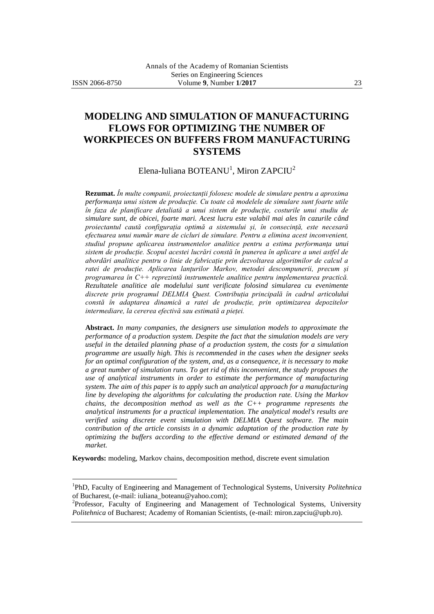$\overline{a}$ 

# **MODELING AND SIMULATION OF MANUFACTURING FLOWS FOR OPTIMIZING THE NUMBER OF WORKPIECES ON BUFFERS FROM MANUFACTURING SYSTEMS**

Elena-Iuliana  $\mathrm{BOTEANU}^1$ , Miron  $\mathrm{ZAPClU}^2$ 

**Rezumat.** *În multe companii, proiectanții folosesc modele de simulare pentru a aproxima performanța unui sistem de producție. Cu toate că modelele de simulare sunt foarte utile în faza de planificare detaliată a unui sistem de producție, costurile unui studiu de simulare sunt, de obicei, foarte mari. Acest lucru este valabil mai ales în cazurile când proiectantul caută configurația optimă a sistemului și, în consecință, este necesară efectuarea unui număr mare de cicluri de simulare. Pentru a elimina acest inconvenient, studiul propune aplicarea instrumentelor analitice pentru a estima performanța unui sistem de producție. Scopul acestei lucrări constă în punerea în aplicare a unei astfel de abordări analitice pentru o linie de fabricație prin dezvoltarea algoritmilor de calcul a ratei de producție. Aplicarea lanțurilor Markov, metodei descompunerii, precum și programarea în C++ reprezintă instrumentele analitice pentru implementarea practică. Rezultatele analitice ale modelului sunt verificate folosind simularea cu evenimente discrete prin programul DELMIA Quest. Contribuția principală în cadrul articolului constă în adaptarea dinamică a ratei de producție, prin optimizarea depozitelor intermediare, la cererea efectivă sau estimată a pieței.*

**Abstract.** *In many companies, the designers use simulation models to approximate the performance of a production system. Despite the fact that the simulation models are very useful in the detailed planning phase of a production system, the costs for a simulation programme are usually high. This is recommended in the cases when the designer seeks for an optimal configuration of the system, and, as a consequence, it is necessary to make a great number of simulation runs. To get rid of this inconvenient, the study proposes the use of analytical instruments in order to estimate the performance of manufacturing system. The aim of this paper is to apply such an analytical approach for a manufacturing line by developing the algorithms for calculating the production rate. Using the Markov chains, the decomposition method as well as the C++ programme represents the analytical instruments for a practical implementation. The analytical model's results are verified using discrete event simulation with DELMIA Quest software. The main contribution of the article consists in a dynamic adaptation of the production rate by optimizing the buffers according to the effective demand or estimated demand of the market.*

**Keywords:** modeling, Markov chains, decomposition method, discrete event simulation

<sup>1</sup> PhD, Faculty of Engineering and Management of Technological Systems, University *Politehnica* of Bucharest, (e-mail: iuliana\_boteanu@yahoo.com);

<sup>&</sup>lt;sup>2</sup>Professor, Faculty of Engineering and Management of Technological Systems, University *Politehnica* of Bucharest; Academy of Romanian Scientists, (e-mail: miron.zapciu@upb.ro).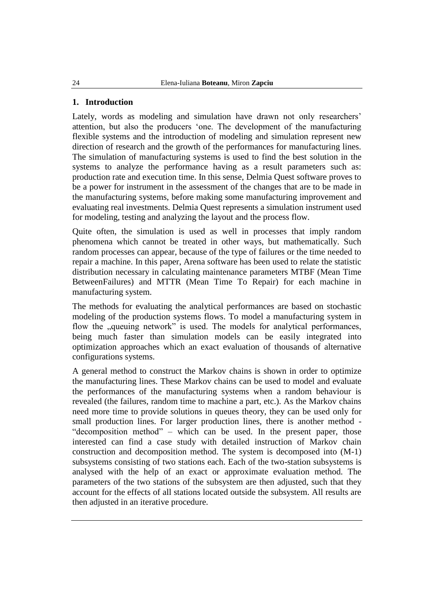### **1. Introduction**

Lately, words as modeling and simulation have drawn not only researchers' attention, but also the producers "one. The development of the manufacturing flexible systems and the introduction of modeling and simulation represent new direction of research and the growth of the performances for manufacturing lines. The simulation of manufacturing systems is used to find the best solution in the systems to analyze the performance having as a result parameters such as: production rate and execution time. In this sense, Delmia Quest software proves to be a power for instrument in the assessment of the changes that are to be made in the manufacturing systems, before making some manufacturing improvement and evaluating real investments. Delmia Quest represents a simulation instrument used for modeling, testing and analyzing the layout and the process flow.

Quite often, the simulation is used as well in processes that imply random phenomena which cannot be treated in other ways, but mathematically. Such random processes can appear, because of the type of failures or the time needed to repair a machine. In this paper, Arena software has been used to relate the statistic distribution necessary in calculating maintenance parameters MTBF (Mean Time BetweenFailures) and MTTR (Mean Time To Repair) for each machine in manufacturing system.

The methods for evaluating the analytical performances are based on stochastic modeling of the production systems flows. To model a manufacturing system in flow the "queuing network" is used. The models for analytical performances, being much faster than simulation models can be easily integrated into optimization approaches which an exact evaluation of thousands of alternative configurations systems.

A general method to construct the Markov chains is shown in order to optimize the manufacturing lines. These Markov chains can be used to model and evaluate the performances of the manufacturing systems when a random behaviour is revealed (the failures, random time to machine a part, etc.). As the Markov chains need more time to provide solutions in queues theory, they can be used only for small production lines. For larger production lines, there is another method - "decomposition method" – which can be used. In the present paper, those interested can find a case study with detailed instruction of Markov chain construction and decomposition method. The system is decomposed into (M-1) subsystems consisting of two stations each. Each of the two-station subsystems is analysed with the help of an exact or approximate evaluation method. The parameters of the two stations of the subsystem are then adjusted, such that they account for the effects of all stations located outside the subsystem. All results are then adjusted in an iterative procedure.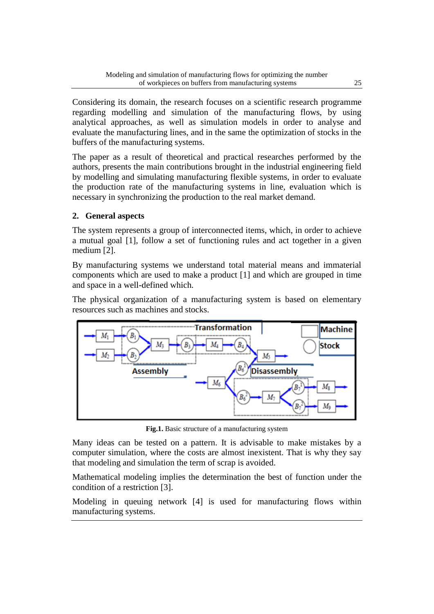Considering its domain, the research focuses on a scientific research programme regarding modelling and simulation of the manufacturing flows, by using analytical approaches, as well as simulation models in order to analyse and evaluate the manufacturing lines, and in the same the optimization of stocks in the buffers of the manufacturing systems.

The paper as a result of theoretical and practical researches performed by the authors, presents the main contributions brought in the industrial engineering field by modelling and simulating manufacturing flexible systems, in order to evaluate the production rate of the manufacturing systems in line, evaluation which is necessary in synchronizing the production to the real market demand.

## **2. General aspects**

The system represents a group of interconnected items, which, in order to achieve a mutual goal [1], follow a set of functioning rules and act together in a given medium [2].

By manufacturing systems we understand total material means and immaterial components which are used to make a product [1] and which are grouped in time and space in a well-defined which.

The physical organization of a manufacturing system is based on elementary resources such as machines and stocks.



**Fig.1.** Basic structure of a manufacturing system

Many ideas can be tested on a pattern. It is advisable to make mistakes by a computer simulation, where the costs are almost inexistent. That is why they say that modeling and simulation the term of scrap is avoided.

Mathematical modeling implies the determination the best of function under the condition of a restriction [3].

Modeling in queuing network [4] is used for manufacturing flows within manufacturing systems.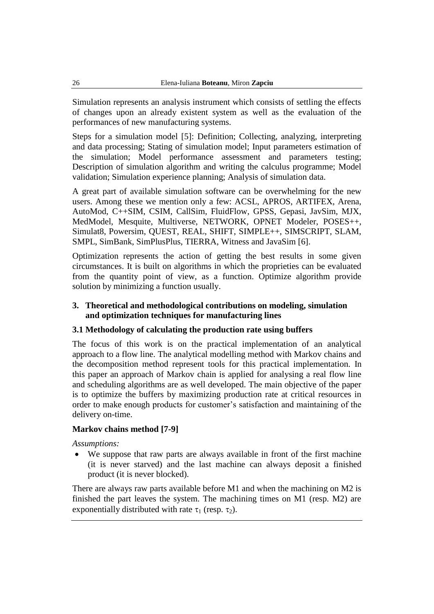Simulation represents an analysis instrument which consists of settling the effects of changes upon an already existent system as well as the evaluation of the performances of new manufacturing systems.

Steps for a simulation model [5]: Definition; Collecting, analyzing, interpreting and data processing; Stating of simulation model; Input parameters estimation of the simulation; Model performance assessment and parameters testing; Description of simulation algorithm and writing the calculus programme; Model validation; Simulation experience planning; Analysis of simulation data.

A great part of available simulation software can be overwhelming for the new users. Among these we mention only a few: ACSL, APROS, ARTIFEX, Arena, AutoMod, C++SIM, CSIM, CallSim, FluidFlow, GPSS, Gepasi, JavSim, MJX, MedModel, Mesquite, Multiverse, NETWORK, OPNET Modeler, POSES++, Simulat8, Powersim, QUEST, REAL, SHIFT, SIMPLE++, SIMSCRIPT, SLAM, SMPL, SimBank, SimPlusPlus, TIERRA, Witness and JavaSim [6].

Optimization represents the action of getting the best results in some given circumstances. It is built on algorithms in which the proprieties can be evaluated from the quantity point of view, as a function. Optimize algorithm provide solution by minimizing a function usually.

### **3. Theoretical and methodological contributions on modeling, simulation and optimization techniques for manufacturing lines**

### **3.1 Methodology of calculating the production rate using buffers**

The focus of this work is on the practical implementation of an analytical approach to a flow line. The analytical modelling method with Markov chains and the decomposition method represent tools for this practical implementation. In this paper an approach of Markov chain is applied for analysing a real flow line and scheduling algorithms are as well developed. The main objective of the paper is to optimize the buffers by maximizing production rate at critical resources in order to make enough products for customer"s satisfaction and maintaining of the delivery on-time.

### **Markov chains method [7-9]**

*Assumptions:*

 We suppose that raw parts are always available in front of the first machine (it is never starved) and the last machine can always deposit a finished product (it is never blocked).

There are always raw parts available before M1 and when the machining on M2 is finished the part leaves the system. The machining times on M1 (resp. M2) are exponentially distributed with rate  $\tau_1$  (resp.  $\tau_2$ ).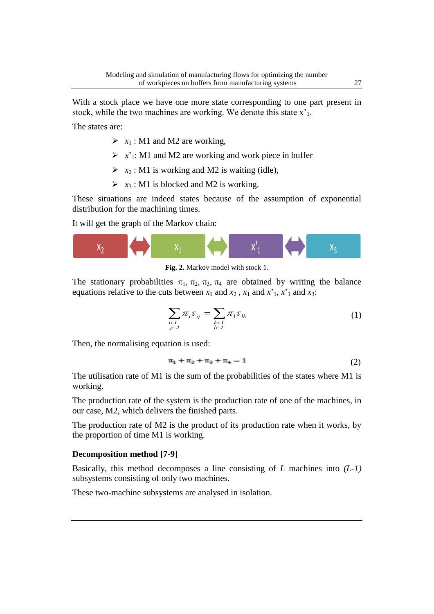With a stock place we have one more state corresponding to one part present in stock, while the two machines are working. We denote this state  $x<sub>1</sub>$ .

The states are:

- $\triangleright$   $x_1$ : M1 and M2 are working,
- $\triangleright$  *x*'<sub>1</sub>: M1 and M2 are working and work piece in buffer
- $\triangleright$   $x_2$ : M1 is working and M2 is waiting (idle),
- $\triangleright$   $x_3$ : M1 is blocked and M2 is working.

These situations are indeed states because of the assumption of exponential distribution for the machining times.

It will get the graph of the Markov chain:



**Fig. 2.** Markov model with stock 1.

The stationary probabilities  $\pi_1$ ,  $\pi_2$ ,  $\pi_3$ ,  $\pi_4$  are obtained by writing the balance equations relative to the cuts between  $x_1$  and  $x_2$ ,  $x_1$  and  $x_1$ ,  $x_1$  and  $x_3$ :

$$
\sum_{\substack{i\in I\\j\in J}}\pi_i\tau_{ij} = \sum_{\substack{k\in I\\l\in J}}\pi_l\tau_{lk}
$$
\n(1)

Then, the normalising equation is used:

$$
\pi_1 + \pi_2 + \pi_3 + \pi_4 = 1 \tag{2}
$$

The utilisation rate of M1 is the sum of the probabilities of the states where M1 is working.

The production rate of the system is the production rate of one of the machines, in our case, M2, which delivers the finished parts.

The production rate of M2 is the product of its production rate when it works, by the proportion of time M1 is working.

### **Decomposition method [7-9]**

Basically, this method decomposes a line consisting of *L* machines into *(L-1)* subsystems consisting of only two machines.

These two-machine subsystems are analysed in isolation.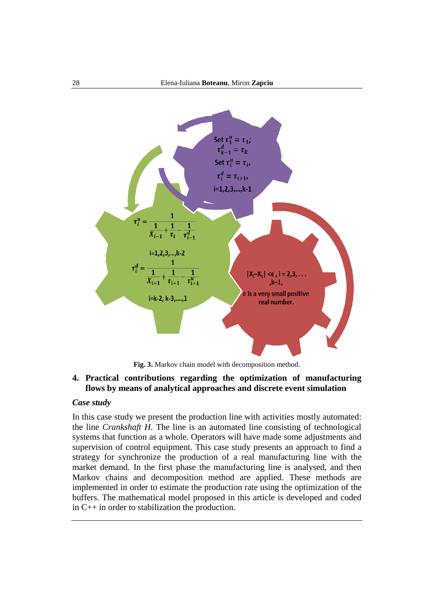

**Fig. 3.** Markov chain model with decomposition method.

### **4. Practical contributions regarding the optimization of manufacturing flows by means of analytical approaches and discrete event simulation**

#### *Case study*

In this case study we present the production line with activities mostly automated: the line *Crankshaft H.* The line is an automated line consisting of technological systems that function as a whole. Operators will have made some adjustments and supervision of control equipment. This case study presents an approach to find a strategy for synchronize the production of a real manufacturing line with the market demand. In the first phase the manufacturing line is analysed, and then Markov chains and decomposition method are applied. These methods are implemented in order to estimate the production rate using the optimization of the buffers. The mathematical model proposed in this article is developed and coded in C++ in order to stabilization the production.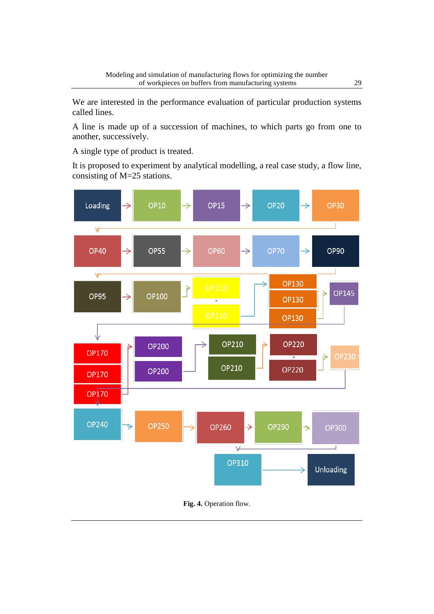We are interested in the performance evaluation of particular production systems called lines.

A line is made up of a succession of machines, to which parts go from one to another, successively.

A single type of product is treated.

It is proposed to experiment by analytical modelling, a real case study, a flow line, consisting of M=25 stations.



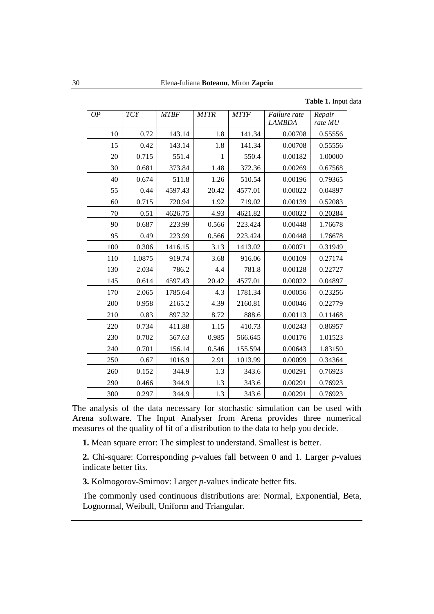#### **Table 1.** Input data

| OP  | <b>TCY</b> | <b>MTBF</b> | <b>MTTR</b> | <b>MTTF</b> | Failure rate<br><b>LAMBDA</b> | Repair<br>rate MU |
|-----|------------|-------------|-------------|-------------|-------------------------------|-------------------|
| 10  | 0.72       | 143.14      | 1.8         | 141.34      | 0.00708                       | 0.55556           |
| 15  | 0.42       | 143.14      | 1.8         | 141.34      | 0.00708                       | 0.55556           |
| 20  | 0.715      | 551.4       | 1           | 550.4       | 0.00182                       | 1.00000           |
| 30  | 0.681      | 373.84      | 1.48        | 372.36      | 0.00269                       | 0.67568           |
| 40  | 0.674      | 511.8       | 1.26        | 510.54      | 0.00196                       | 0.79365           |
| 55  | 0.44       | 4597.43     | 20.42       | 4577.01     | 0.00022                       | 0.04897           |
| 60  | 0.715      | 720.94      | 1.92        | 719.02      | 0.00139                       | 0.52083           |
| 70  | 0.51       | 4626.75     | 4.93        | 4621.82     | 0.00022                       | 0.20284           |
| 90  | 0.687      | 223.99      | 0.566       | 223.424     | 0.00448                       | 1.76678           |
| 95  | 0.49       | 223.99      | 0.566       | 223.424     | 0.00448                       | 1.76678           |
| 100 | 0.306      | 1416.15     | 3.13        | 1413.02     | 0.00071                       | 0.31949           |
| 110 | 1.0875     | 919.74      | 3.68        | 916.06      | 0.00109                       | 0.27174           |
| 130 | 2.034      | 786.2       | 4.4         | 781.8       | 0.00128                       | 0.22727           |
| 145 | 0.614      | 4597.43     | 20.42       | 4577.01     | 0.00022                       | 0.04897           |
| 170 | 2.065      | 1785.64     | 4.3         | 1781.34     | 0.00056                       | 0.23256           |
| 200 | 0.958      | 2165.2      | 4.39        | 2160.81     | 0.00046                       | 0.22779           |
| 210 | 0.83       | 897.32      | 8.72        | 888.6       | 0.00113                       | 0.11468           |
| 220 | 0.734      | 411.88      | 1.15        | 410.73      | 0.00243                       | 0.86957           |
| 230 | 0.702      | 567.63      | 0.985       | 566.645     | 0.00176                       | 1.01523           |
| 240 | 0.701      | 156.14      | 0.546       | 155.594     | 0.00643                       | 1.83150           |
| 250 | 0.67       | 1016.9      | 2.91        | 1013.99     | 0.00099                       | 0.34364           |
| 260 | 0.152      | 344.9       | 1.3         | 343.6       | 0.00291                       | 0.76923           |
| 290 | 0.466      | 344.9       | 1.3         | 343.6       | 0.00291                       | 0.76923           |
| 300 | 0.297      | 344.9       | 1.3         | 343.6       | 0.00291                       | 0.76923           |

The analysis of the data necessary for stochastic simulation can be used with Arena software. The Input Analyser from Arena provides three numerical measures of the quality of fit of a distribution to the data to help you decide.

**1.** Mean square error: The simplest to understand. Smallest is better.

**2.** Chi-square: Corresponding *p*-values fall between 0 and 1. Larger *p*-values indicate better fits.

**3.** Kolmogorov-Smirnov: Larger *p*-values indicate better fits.

The commonly used continuous distributions are: Normal, Exponential, Beta, Lognormal, Weibull, Uniform and Triangular.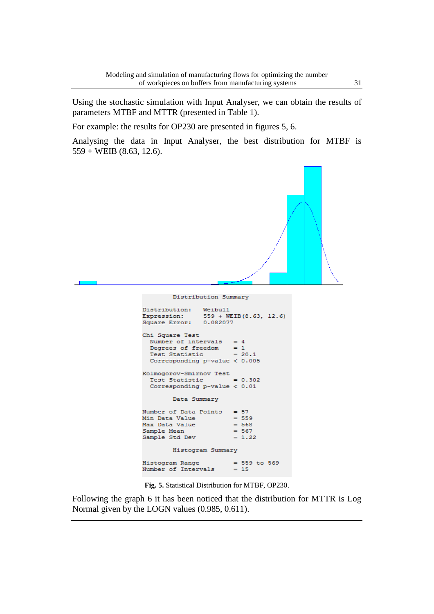Using the stochastic simulation with Input Analyser, we can obtain the results of parameters MTBF and MTTR (presented in Table 1).

For example: the results for OP230 are presented in figures 5, 6.

Analysing the data in Input Analyser, the best distribution for MTBF is  $559 + \text{WEIB}$  (8.63, 12.6).



**Fig. 5.** Statistical Distribution for MTBF, OP230.

Following the graph 6 it has been noticed that the distribution for MTTR is Log Normal given by the LOGN values (0.985, 0.611).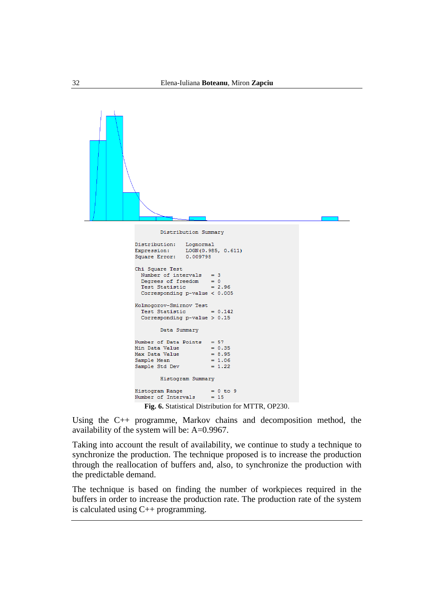

**Fig. 6.** Statistical Distribution for MTTR, OP230.

Using the C++ programme, Markov chains and decomposition method, the availability of the system will be: A=0.9967.

Taking into account the result of availability, we continue to study a technique to synchronize the production. The technique proposed is to increase the production through the reallocation of buffers and, also, to synchronize the production with the predictable demand.

The technique is based on finding the number of workpieces required in the buffers in order to increase the production rate. The production rate of the system is calculated using C++ programming.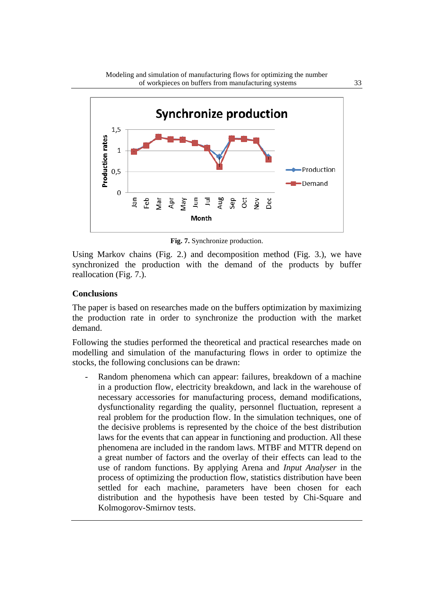

**Fig. 7.** Synchronize production.

Using Markov chains (Fig. 2.) and decomposition method (Fig. 3.), we have synchronized the production with the demand of the products by buffer reallocation (Fig. 7.).

### **Conclusions**

The paper is based on researches made on the buffers optimization by maximizing the production rate in order to synchronize the production with the market demand.

Following the studies performed the theoretical and practical researches made on modelling and simulation of the manufacturing flows in order to optimize the stocks, the following conclusions can be drawn:

Random phenomena which can appear: failures, breakdown of a machine in a production flow, electricity breakdown, and lack in the warehouse of necessary accessories for manufacturing process, demand modifications, dysfunctionality regarding the quality, personnel fluctuation, represent a real problem for the production flow. In the simulation techniques, one of the decisive problems is represented by the choice of the best distribution laws for the events that can appear in functioning and production. All these phenomena are included in the random laws. MTBF and MTTR depend on a great number of factors and the overlay of their effects can lead to the use of random functions. By applying Arena and *Input Analyser* in the process of optimizing the production flow, statistics distribution have been settled for each machine, parameters have been chosen for each distribution and the hypothesis have been tested by Chi-Square and Kolmogorov-Smirnov tests.